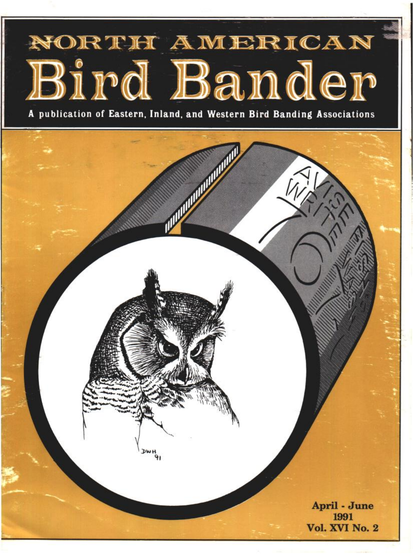# NORTH AMERICAN Bird Bander

**A publication of Eastern, Inland, and Western Bird Banding Associations**